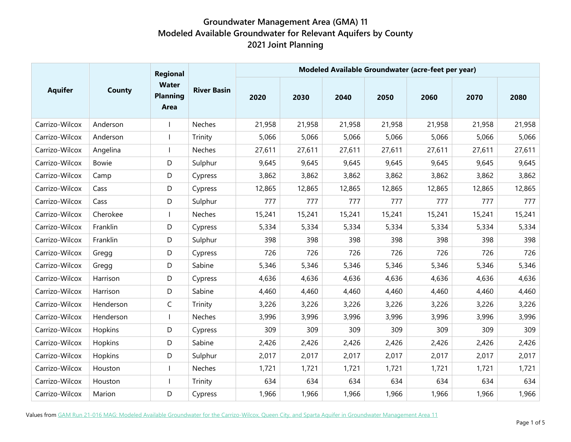|                | <b>County</b> | <b>Regional</b><br><b>Water</b><br><b>Planning</b><br>Area | <b>River Basin</b> | Modeled Available Groundwater (acre-feet per year) |        |        |        |        |        |        |  |  |
|----------------|---------------|------------------------------------------------------------|--------------------|----------------------------------------------------|--------|--------|--------|--------|--------|--------|--|--|
| <b>Aquifer</b> |               |                                                            |                    | 2020                                               | 2030   | 2040   | 2050   | 2060   | 2070   | 2080   |  |  |
| Carrizo-Wilcox | Anderson      |                                                            | Neches             | 21,958                                             | 21,958 | 21,958 | 21,958 | 21,958 | 21,958 | 21,958 |  |  |
| Carrizo-Wilcox | Anderson      |                                                            | Trinity            | 5,066                                              | 5,066  | 5,066  | 5,066  | 5,066  | 5,066  | 5,066  |  |  |
| Carrizo-Wilcox | Angelina      |                                                            | Neches             | 27,611                                             | 27,611 | 27,611 | 27,611 | 27,611 | 27,611 | 27,611 |  |  |
| Carrizo-Wilcox | <b>Bowie</b>  | D                                                          | Sulphur            | 9,645                                              | 9,645  | 9,645  | 9,645  | 9,645  | 9,645  | 9,645  |  |  |
| Carrizo-Wilcox | Camp          | D                                                          | Cypress            | 3,862                                              | 3,862  | 3,862  | 3,862  | 3,862  | 3,862  | 3,862  |  |  |
| Carrizo-Wilcox | Cass          | D                                                          | Cypress            | 12,865                                             | 12,865 | 12,865 | 12,865 | 12,865 | 12,865 | 12,865 |  |  |
| Carrizo-Wilcox | Cass          | D                                                          | Sulphur            | 777                                                | 777    | 777    | 777    | 777    | 777    | 777    |  |  |
| Carrizo-Wilcox | Cherokee      |                                                            | Neches             | 15,241                                             | 15,241 | 15,241 | 15,241 | 15,241 | 15,241 | 15,241 |  |  |
| Carrizo-Wilcox | Franklin      | D                                                          | Cypress            | 5,334                                              | 5,334  | 5,334  | 5,334  | 5,334  | 5,334  | 5,334  |  |  |
| Carrizo-Wilcox | Franklin      | D                                                          | Sulphur            | 398                                                | 398    | 398    | 398    | 398    | 398    | 398    |  |  |
| Carrizo-Wilcox | Gregg         | D                                                          | Cypress            | 726                                                | 726    | 726    | 726    | 726    | 726    | 726    |  |  |
| Carrizo-Wilcox | Gregg         | D                                                          | Sabine             | 5,346                                              | 5,346  | 5,346  | 5,346  | 5,346  | 5,346  | 5,346  |  |  |
| Carrizo-Wilcox | Harrison      | D                                                          | Cypress            | 4,636                                              | 4,636  | 4,636  | 4,636  | 4,636  | 4,636  | 4,636  |  |  |
| Carrizo-Wilcox | Harrison      | D                                                          | Sabine             | 4,460                                              | 4,460  | 4,460  | 4,460  | 4,460  | 4,460  | 4,460  |  |  |
| Carrizo-Wilcox | Henderson     | C                                                          | Trinity            | 3,226                                              | 3,226  | 3,226  | 3,226  | 3,226  | 3,226  | 3,226  |  |  |
| Carrizo-Wilcox | Henderson     |                                                            | Neches             | 3,996                                              | 3,996  | 3,996  | 3,996  | 3,996  | 3,996  | 3,996  |  |  |
| Carrizo-Wilcox | Hopkins       | D                                                          | Cypress            | 309                                                | 309    | 309    | 309    | 309    | 309    | 309    |  |  |
| Carrizo-Wilcox | Hopkins       | D                                                          | Sabine             | 2,426                                              | 2,426  | 2,426  | 2,426  | 2,426  | 2,426  | 2,426  |  |  |
| Carrizo-Wilcox | Hopkins       | D                                                          | Sulphur            | 2,017                                              | 2,017  | 2,017  | 2,017  | 2,017  | 2,017  | 2,017  |  |  |
| Carrizo-Wilcox | Houston       |                                                            | Neches             | 1,721                                              | 1,721  | 1,721  | 1,721  | 1,721  | 1,721  | 1,721  |  |  |
| Carrizo-Wilcox | Houston       |                                                            | Trinity            | 634                                                | 634    | 634    | 634    | 634    | 634    | 634    |  |  |
| Carrizo-Wilcox | Marion        | D                                                          | Cypress            | 1,966                                              | 1,966  | 1,966  | 1,966  | 1,966  | 1,966  | 1,966  |  |  |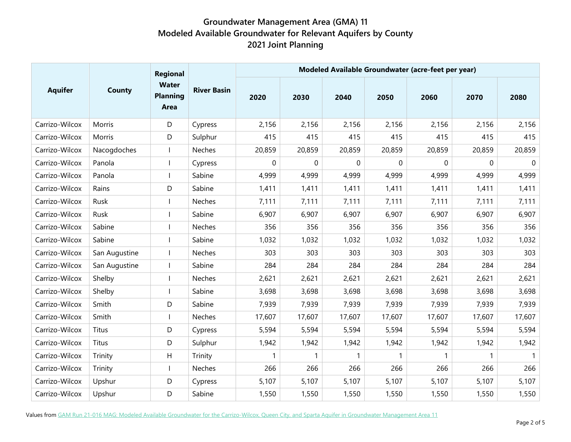|                | <b>County</b> | <b>Regional</b><br><b>Water</b><br><b>Planning</b><br>Area | <b>River Basin</b> | Modeled Available Groundwater (acre-feet per year) |        |        |                  |        |              |             |  |  |
|----------------|---------------|------------------------------------------------------------|--------------------|----------------------------------------------------|--------|--------|------------------|--------|--------------|-------------|--|--|
| <b>Aquifer</b> |               |                                                            |                    | 2020                                               | 2030   | 2040   | 2050             | 2060   | 2070         | 2080        |  |  |
| Carrizo-Wilcox | Morris        | D                                                          | Cypress            | 2,156                                              | 2,156  | 2,156  | 2,156            | 2,156  | 2,156        | 2,156       |  |  |
| Carrizo-Wilcox | Morris        | D                                                          | Sulphur            | 415                                                | 415    | 415    | 415              | 415    | 415          | 415         |  |  |
| Carrizo-Wilcox | Nacogdoches   |                                                            | Neches             | 20,859                                             | 20,859 | 20,859 | 20,859           | 20,859 | 20,859       | 20,859      |  |  |
| Carrizo-Wilcox | Panola        |                                                            | Cypress            | 0                                                  | 0      | 0      | $\boldsymbol{0}$ | 0      | 0            | $\mathbf 0$ |  |  |
| Carrizo-Wilcox | Panola        |                                                            | Sabine             | 4,999                                              | 4,999  | 4,999  | 4,999            | 4,999  | 4,999        | 4,999       |  |  |
| Carrizo-Wilcox | Rains         | D                                                          | Sabine             | 1,411                                              | 1,411  | 1,411  | 1,411            | 1,411  | 1,411        | 1,411       |  |  |
| Carrizo-Wilcox | Rusk          |                                                            | Neches             | 7,111                                              | 7,111  | 7,111  | 7,111            | 7,111  | 7,111        | 7,111       |  |  |
| Carrizo-Wilcox | Rusk          |                                                            | Sabine             | 6,907                                              | 6,907  | 6,907  | 6,907            | 6,907  | 6,907        | 6,907       |  |  |
| Carrizo-Wilcox | Sabine        |                                                            | Neches             | 356                                                | 356    | 356    | 356              | 356    | 356          | 356         |  |  |
| Carrizo-Wilcox | Sabine        |                                                            | Sabine             | 1,032                                              | 1,032  | 1,032  | 1,032            | 1,032  | 1,032        | 1,032       |  |  |
| Carrizo-Wilcox | San Augustine |                                                            | Neches             | 303                                                | 303    | 303    | 303              | 303    | 303          | 303         |  |  |
| Carrizo-Wilcox | San Augustine |                                                            | Sabine             | 284                                                | 284    | 284    | 284              | 284    | 284          | 284         |  |  |
| Carrizo-Wilcox | Shelby        |                                                            | Neches             | 2,621                                              | 2,621  | 2,621  | 2,621            | 2,621  | 2,621        | 2,621       |  |  |
| Carrizo-Wilcox | Shelby        |                                                            | Sabine             | 3,698                                              | 3,698  | 3,698  | 3,698            | 3,698  | 3,698        | 3,698       |  |  |
| Carrizo-Wilcox | Smith         | D                                                          | Sabine             | 7,939                                              | 7,939  | 7,939  | 7,939            | 7,939  | 7,939        | 7,939       |  |  |
| Carrizo-Wilcox | Smith         |                                                            | Neches             | 17,607                                             | 17,607 | 17,607 | 17,607           | 17,607 | 17,607       | 17,607      |  |  |
| Carrizo-Wilcox | Titus         | D                                                          | Cypress            | 5,594                                              | 5,594  | 5,594  | 5,594            | 5,594  | 5,594        | 5,594       |  |  |
| Carrizo-Wilcox | Titus         | D                                                          | Sulphur            | 1,942                                              | 1,942  | 1,942  | 1,942            | 1,942  | 1,942        | 1,942       |  |  |
| Carrizo-Wilcox | Trinity       | H                                                          | Trinity            |                                                    | 1      | 1      | $\mathbf{1}$     |        | $\mathbf{1}$ |             |  |  |
| Carrizo-Wilcox | Trinity       |                                                            | Neches             | 266                                                | 266    | 266    | 266              | 266    | 266          | 266         |  |  |
| Carrizo-Wilcox | Upshur        | D                                                          | Cypress            | 5,107                                              | 5,107  | 5,107  | 5,107            | 5,107  | 5,107        | 5,107       |  |  |
| Carrizo-Wilcox | Upshur        | D                                                          | Sabine             | 1,550                                              | 1,550  | 1,550  | 1,550            | 1,550  | 1,550        | 1,550       |  |  |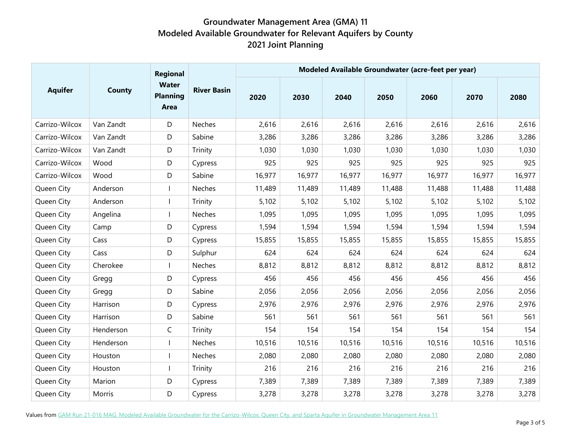|                | <b>County</b> | Regional<br><b>Water</b><br><b>Planning</b><br>Area | <b>River Basin</b> | Modeled Available Groundwater (acre-feet per year) |        |        |        |        |        |        |  |  |
|----------------|---------------|-----------------------------------------------------|--------------------|----------------------------------------------------|--------|--------|--------|--------|--------|--------|--|--|
| <b>Aquifer</b> |               |                                                     |                    | 2020                                               | 2030   | 2040   | 2050   | 2060   | 2070   | 2080   |  |  |
| Carrizo-Wilcox | Van Zandt     | D                                                   | Neches             | 2,616                                              | 2,616  | 2,616  | 2,616  | 2,616  | 2,616  | 2,616  |  |  |
| Carrizo-Wilcox | Van Zandt     | D                                                   | Sabine             | 3,286                                              | 3,286  | 3,286  | 3,286  | 3,286  | 3,286  | 3,286  |  |  |
| Carrizo-Wilcox | Van Zandt     | D                                                   | Trinity            | 1,030                                              | 1,030  | 1,030  | 1,030  | 1,030  | 1,030  | 1,030  |  |  |
| Carrizo-Wilcox | Wood          | D                                                   | Cypress            | 925                                                | 925    | 925    | 925    | 925    | 925    | 925    |  |  |
| Carrizo-Wilcox | Wood          | D                                                   | Sabine             | 16,977                                             | 16,977 | 16,977 | 16,977 | 16,977 | 16,977 | 16,977 |  |  |
| Queen City     | Anderson      | $\mathbf{I}$                                        | Neches             | 11,489                                             | 11,489 | 11,489 | 11,488 | 11,488 | 11,488 | 11,488 |  |  |
| Queen City     | Anderson      | $\mathbf{I}$                                        | Trinity            | 5,102                                              | 5,102  | 5,102  | 5,102  | 5,102  | 5,102  | 5,102  |  |  |
| Queen City     | Angelina      |                                                     | Neches             | 1,095                                              | 1,095  | 1,095  | 1,095  | 1,095  | 1,095  | 1,095  |  |  |
| Queen City     | Camp          | D                                                   | Cypress            | 1,594                                              | 1,594  | 1,594  | 1,594  | 1,594  | 1,594  | 1,594  |  |  |
| Queen City     | Cass          | D                                                   | Cypress            | 15,855                                             | 15,855 | 15,855 | 15,855 | 15,855 | 15,855 | 15,855 |  |  |
| Queen City     | Cass          | D                                                   | Sulphur            | 624                                                | 624    | 624    | 624    | 624    | 624    | 624    |  |  |
| Queen City     | Cherokee      | $\mathbf{I}$                                        | Neches             | 8,812                                              | 8,812  | 8,812  | 8,812  | 8,812  | 8,812  | 8,812  |  |  |
| Queen City     | Gregg         | D                                                   | Cypress            | 456                                                | 456    | 456    | 456    | 456    | 456    | 456    |  |  |
| Queen City     | Gregg         | D                                                   | Sabine             | 2,056                                              | 2,056  | 2,056  | 2,056  | 2,056  | 2,056  | 2,056  |  |  |
| Queen City     | Harrison      | D                                                   | Cypress            | 2,976                                              | 2,976  | 2,976  | 2,976  | 2,976  | 2,976  | 2,976  |  |  |
| Queen City     | Harrison      | D                                                   | Sabine             | 561                                                | 561    | 561    | 561    | 561    | 561    | 561    |  |  |
| Queen City     | Henderson     | C                                                   | Trinity            | 154                                                | 154    | 154    | 154    | 154    | 154    | 154    |  |  |
| Queen City     | Henderson     | $\mathbf{I}$                                        | Neches             | 10,516                                             | 10,516 | 10,516 | 10,516 | 10,516 | 10,516 | 10,516 |  |  |
| Queen City     | Houston       |                                                     | Neches             | 2,080                                              | 2,080  | 2,080  | 2,080  | 2,080  | 2,080  | 2,080  |  |  |
| Queen City     | Houston       | $\mathbf{I}$                                        | Trinity            | 216                                                | 216    | 216    | 216    | 216    | 216    | 216    |  |  |
| Queen City     | Marion        | D                                                   | Cypress            | 7,389                                              | 7,389  | 7,389  | 7,389  | 7,389  | 7,389  | 7,389  |  |  |
| Queen City     | Morris        | D                                                   | Cypress            | 3,278                                              | 3,278  | 3,278  | 3,278  | 3,278  | 3,278  | 3,278  |  |  |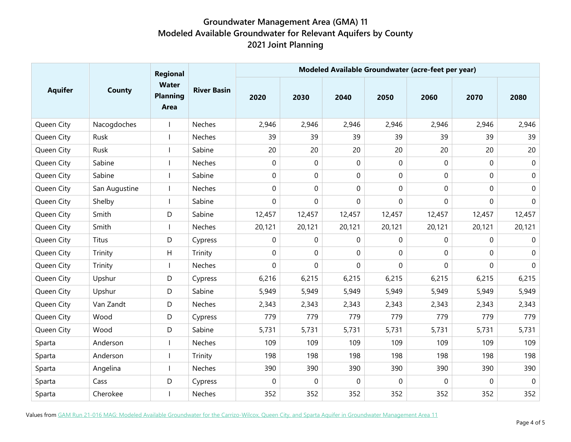|                | <b>County</b> | Regional<br><b>Water</b><br><b>Planning</b><br>Area | <b>River Basin</b> | Modeled Available Groundwater (acre-feet per year) |             |             |                  |             |             |                  |  |  |
|----------------|---------------|-----------------------------------------------------|--------------------|----------------------------------------------------|-------------|-------------|------------------|-------------|-------------|------------------|--|--|
| <b>Aquifer</b> |               |                                                     |                    | 2020                                               | 2030        | 2040        | 2050             | 2060        | 2070        | 2080             |  |  |
| Queen City     | Nacogdoches   |                                                     | Neches             | 2,946                                              | 2,946       | 2,946       | 2,946            | 2,946       | 2,946       | 2,946            |  |  |
| Queen City     | Rusk          |                                                     | Neches             | 39                                                 | 39          | 39          | 39               | 39          | 39          | 39               |  |  |
| Queen City     | Rusk          |                                                     | Sabine             | 20                                                 | 20          | 20          | 20               | 20          | 20          | 20               |  |  |
| Queen City     | Sabine        |                                                     | Neches             | $\mathbf 0$                                        | $\mathbf 0$ | 0           | $\boldsymbol{0}$ | $\mathbf 0$ | 0           | $\mathbf 0$      |  |  |
| Queen City     | Sabine        |                                                     | Sabine             | 0                                                  | $\mathbf 0$ | 0           | $\boldsymbol{0}$ | $\mathbf 0$ | 0           | $\pmb{0}$        |  |  |
| Queen City     | San Augustine | $\mathbf{I}$                                        | Neches             | 0                                                  | 0           | 0           | $\boldsymbol{0}$ | 0           | 0           | $\boldsymbol{0}$ |  |  |
| Queen City     | Shelby        | $\overline{\phantom{a}}$                            | Sabine             | $\mathbf 0$                                        | 0           | 0           | 0                | 0           | 0           | $\mathbf 0$      |  |  |
| Queen City     | Smith         | D                                                   | Sabine             | 12,457                                             | 12,457      | 12,457      | 12,457           | 12,457      | 12,457      | 12,457           |  |  |
| Queen City     | Smith         |                                                     | Neches             | 20,121                                             | 20,121      | 20,121      | 20,121           | 20,121      | 20,121      | 20,121           |  |  |
| Queen City     | Titus         | D                                                   | Cypress            | $\Omega$                                           | $\Omega$    | 0           | 0                | $\mathbf 0$ | $\mathbf 0$ | $\Omega$         |  |  |
| Queen City     | Trinity       | H                                                   | Trinity            | $\mathbf 0$                                        | $\mathbf 0$ | 0           | $\mathbf 0$      | 0           | 0           | $\mathbf 0$      |  |  |
| Queen City     | Trinity       | $\mathbf{I}$                                        | Neches             | 0                                                  | 0           | 0           | 0                | 0           | 0           | $\mathbf 0$      |  |  |
| Queen City     | Upshur        | D                                                   | Cypress            | 6,216                                              | 6,215       | 6,215       | 6,215            | 6,215       | 6,215       | 6,215            |  |  |
| Queen City     | Upshur        | D                                                   | Sabine             | 5,949                                              | 5,949       | 5,949       | 5,949            | 5,949       | 5,949       | 5,949            |  |  |
| Queen City     | Van Zandt     | D                                                   | Neches             | 2,343                                              | 2,343       | 2,343       | 2,343            | 2,343       | 2,343       | 2,343            |  |  |
| Queen City     | Wood          | D                                                   | Cypress            | 779                                                | 779         | 779         | 779              | 779         | 779         | 779              |  |  |
| Queen City     | Wood          | D                                                   | Sabine             | 5,731                                              | 5,731       | 5,731       | 5,731            | 5,731       | 5,731       | 5,731            |  |  |
| Sparta         | Anderson      | $\mathbf{I}$                                        | Neches             | 109                                                | 109         | 109         | 109              | 109         | 109         | 109              |  |  |
| Sparta         | Anderson      |                                                     | Trinity            | 198                                                | 198         | 198         | 198              | 198         | 198         | 198              |  |  |
| Sparta         | Angelina      | $\mathbf{I}$                                        | Neches             | 390                                                | 390         | 390         | 390              | 390         | 390         | 390              |  |  |
| Sparta         | Cass          | D                                                   | Cypress            | $\mathbf 0$                                        | $\mathbf 0$ | $\mathbf 0$ | 0                | $\mathbf 0$ | $\mathbf 0$ | $\mathbf 0$      |  |  |
| Sparta         | Cherokee      |                                                     | Neches             | 352                                                | 352         | 352         | 352              | 352         | 352         | 352              |  |  |